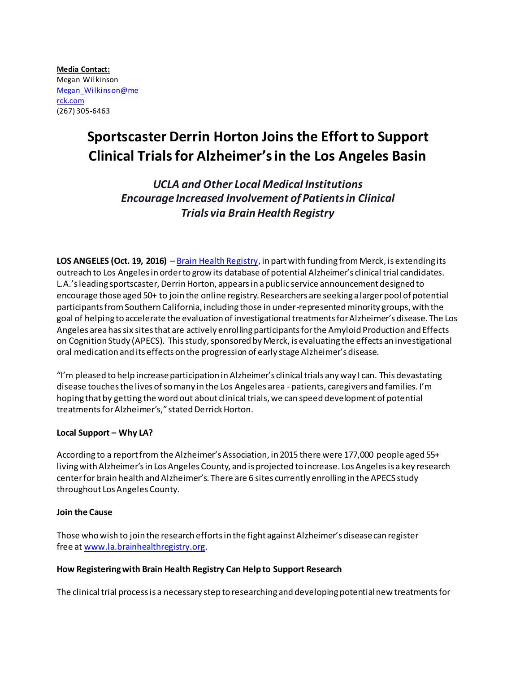**Media Contact:** Megan Wilkinson [Megan\\_Wilkinson@me](mailto:Megan_Wilkinson@merck.com) [rck.com](mailto:Megan_Wilkinson@merck.com) (267) 305-6463

# **Sportscaster Derrin Horton Joins the Effort to Support Clinical Trials for Alzheimer's in the Los Angeles Basin**

*UCLA and Other Local Medical Institutions Encourage Increased Involvement of Patients in Clinical Trials via Brain Health Registry*

**LOS ANGELES (Oct. 19, 2016)** – [Brain Health Registry,](http://www.la.brainhealthregistry.org/) in part with funding from Merck, is extending its outreach to Los Angeles in order to grow its database of potential Alzheimer's clinical trial candidates. L.A.'s leading sportscaster, Derrin Horton, appears in a public service announcement designed to encourage those aged 50+ to join the online registry. Researchers are seeking a larger pool of potential participants from Southern California, including those in under-represented minority groups, with the goal of helping to accelerate the evaluation of investigational treatments for Alzheimer's disease. The Los Angeles area has six sites that are actively enrolling participants for the Amyloid Production and Effects on Cognition Study (APECS). This study, sponsored by Merck, is evaluating the effects an investigational oral medication and its effects on the progression of early stage Alzheimer's disease.

"I'm pleased to help increase participation in Alzheimer's clinical trials any way I can. This devastating disease touches the lives of so many in the Los Angeles area - patients, caregivers and families. I'm hoping that by getting the word out about clinical trials, we can speed development of potential treatments for Alzheimer's," stated Derrick Horton.

# **Local Support – Why LA?**

According to a report from the Alzheimer's Association, in 2015 there were 177,000 people aged 55+ living with Alzheimer's in Los Angeles County, and is projected to increase. Los Angeles is a key research center for brain health and Alzheimer's. There are 6 sites currently enrolling in the APECS study throughout Los Angeles County.

### **Join the Cause**

Those who wish to join the research efforts in the fight against Alzheimer's disease can register free at [www.la.brainhealthregistry.org.](http://www.brainhealthregistry.org/)

### **How Registering with Brain Health Registry Can Help to Support Research**

The clinical trial process is a necessary step to researching and developing potential new treatments for